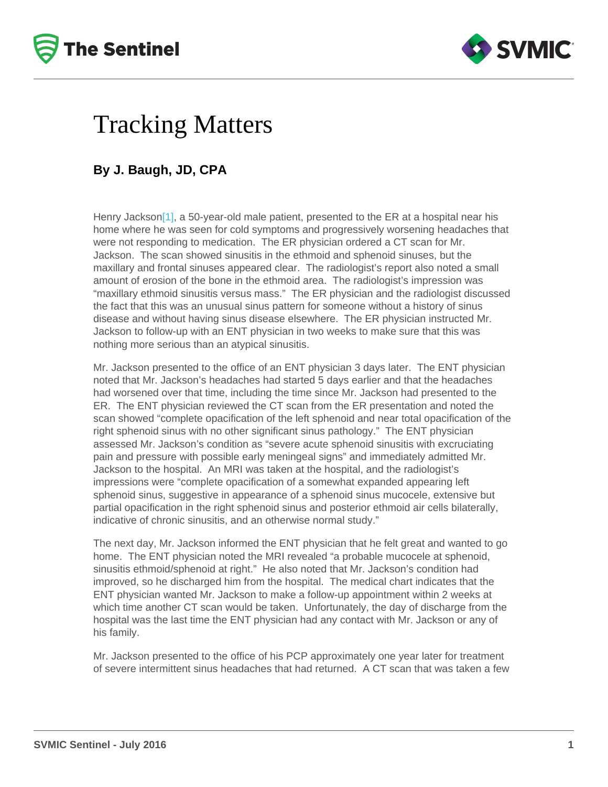## <span id="page-0-0"></span>Tracking Matters

## By J. Baugh, JD, CPA

Henry Jackso[n\[1\]](#page-1-0), a 50-year-old male patient, presented to the ER at a hospital near his home where he was seen for cold symptoms and progressively worsening headaches that were not responding to medication. The ER physician ordered a CT scan for Mr. Jackson. The scan showed sinusitis in the ethmoid and sphenoid sinuses, but the maxillary and frontal sinuses appeared clear. The radiologist's report also noted a small amount of erosion of the bone in the ethmoid area. The radiologist's impression was "maxillary ethmoid sinusitis versus mass." The ER physician and the radiologist discussed the fact that this was an unusual sinus pattern for someone without a history of sinus disease and without having sinus disease elsewhere. The ER physician instructed Mr. Jackson to follow-up with an ENT physician in two weeks to make sure that this was nothing more serious than an atypical sinusitis.

Mr. Jackson presented to the office of an ENT physician 3 days later. The ENT physician noted that Mr. Jackson's headaches had started 5 days earlier and that the headaches had worsened over that time, including the time since Mr. Jackson had presented to the ER. The ENT physician reviewed the CT scan from the ER presentation and noted the scan showed "complete opacification of the left sphenoid and near total opacification of the right sphenoid sinus with no other significant sinus pathology." The ENT physician assessed Mr. Jackson's condition as "severe acute sphenoid sinusitis with excruciating pain and pressure with possible early meningeal signs" and immediately admitted Mr. Jackson to the hospital. An MRI was taken at the hospital, and the radiologist's impressions were "complete opacification of a somewhat expanded appearing left sphenoid sinus, suggestive in appearance of a sphenoid sinus mucocele, extensive but partial opacification in the right sphenoid sinus and posterior ethmoid air cells bilaterally, indicative of chronic sinusitis, and an otherwise normal study."

The next day, Mr. Jackson informed the ENT physician that he felt great and wanted to go home. The ENT physician noted the MRI revealed "a probable mucocele at sphenoid, sinusitis ethmoid/sphenoid at right." He also noted that Mr. Jackson's condition had improved, so he discharged him from the hospital. The medical chart indicates that the ENT physician wanted Mr. Jackson to make a follow-up appointment within 2 weeks at which time another CT scan would be taken. Unfortunately, the day of discharge from the hospital was the last time the ENT physician had any contact with Mr. Jackson or any of his family.

Mr. Jackson presented to the office of his PCP approximately one year later for treatment of severe intermittent sinus headaches that had returned. A CT scan that was taken a few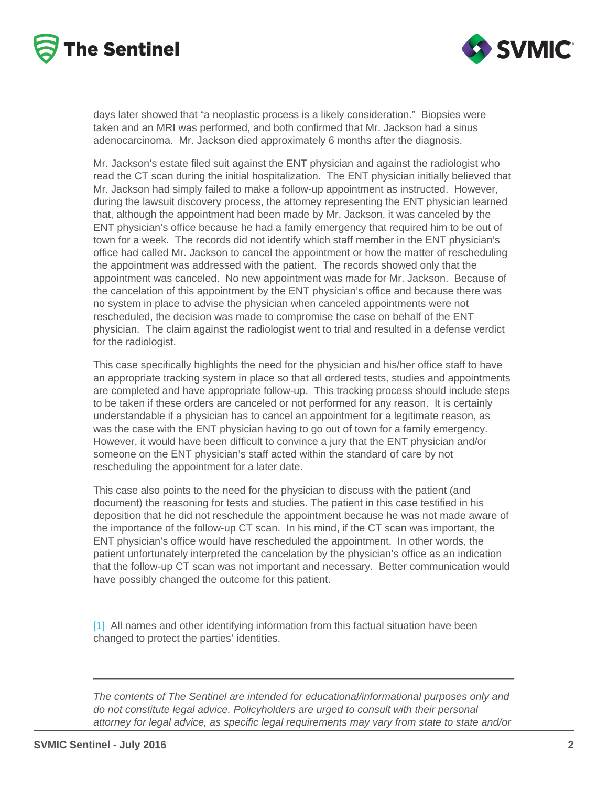<span id="page-1-0"></span>days later showed that "a neoplastic process is a likely consideration." Biopsies were taken and an MRI was performed, and both confirmed that Mr. Jackson had a sinus adenocarcinoma. Mr. Jackson died approximately 6 months after the diagnosis.

Mr. Jackson's estate filed suit against the ENT physician and against the radiologist who read the CT scan during the initial hospitalization. The ENT physician initially believed that Mr. Jackson had simply failed to make a follow-up appointment as instructed. However, during the lawsuit discovery process, the attorney representing the ENT physician learned that, although the appointment had been made by Mr. Jackson, it was canceled by the ENT physician's office because he had a family emergency that required him to be out of town for a week. The records did not identify which staff member in the ENT physician's office had called Mr. Jackson to cancel the appointment or how the matter of rescheduling the appointment was addressed with the patient. The records showed only that the appointment was canceled. No new appointment was made for Mr. Jackson. Because of the cancelation of this appointment by the ENT physician's office and because there was no system in place to advise the physician when canceled appointments were not rescheduled, the decision was made to compromise the case on behalf of the ENT physician. The claim against the radiologist went to trial and resulted in a defense verdict for the radiologist.

This case specifically highlights the need for the physician and his/her office staff to have an appropriate tracking system in place so that all ordered tests, studies and appointments are completed and have appropriate follow-up. This tracking process should include steps to be taken if these orders are canceled or not performed for any reason. It is certainly understandable if a physician has to cancel an appointment for a legitimate reason, as was the case with the ENT physician having to go out of town for a family emergency. However, it would have been difficult to convince a jury that the ENT physician and/or someone on the ENT physician's staff acted within the standard of care by not rescheduling the appointment for a later date.

This case also points to the need for the physician to discuss with the patient (and document) the reasoning for tests and studies. The patient in this case testified in his deposition that he did not reschedule the appointment because he was not made aware of the importance of the follow-up CT scan. In his mind, if the CT scan was important, the ENT physician's office would have rescheduled the appointment. In other words, the patient unfortunately interpreted the cancelation by the physician's office as an indication that the follow-up CT scan was not important and necessary. Better communication would have possibly changed the outcome for this patient.

[\[1\]](#page-0-0) All names and other identifying information from this factual situation have been changed to protect the parties' identities.

The contents of The Sentinel are intended for educational/informational purposes only and do not constitute legal advice. Policyholders are urged to consult with their personal attorney for legal advice, as specific legal requirements may vary from state to state and/or